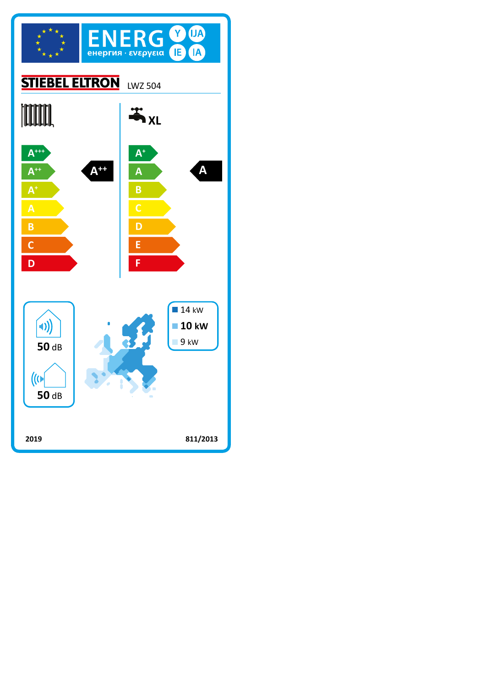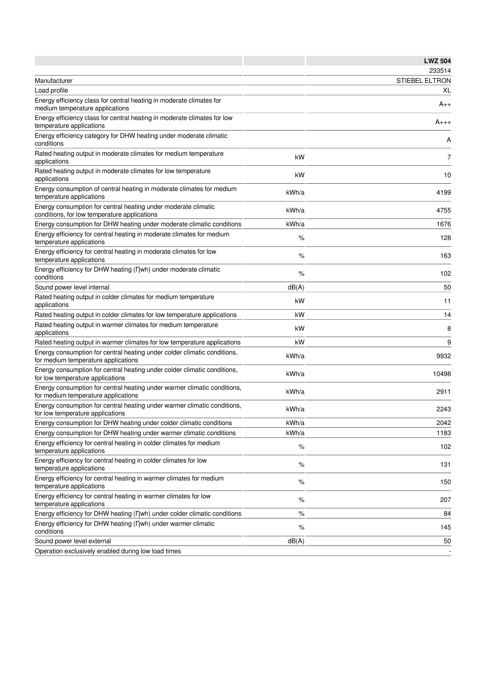|                                                                                                                 |       | <b>LWZ 504</b>        |
|-----------------------------------------------------------------------------------------------------------------|-------|-----------------------|
|                                                                                                                 |       | 233514                |
| Manufacturer                                                                                                    |       | <b>STIEBEL ELTRON</b> |
| Load profile                                                                                                    |       | XL                    |
| Energy efficiency class for central heating in moderate climates for<br>medium temperature applications         |       | $A_{++}$              |
| Energy efficiency class for central heating in moderate climates for low<br>temperature applications            |       | A+++                  |
| Energy efficiency category for DHW heating under moderate climatic<br>conditions                                |       | Α                     |
| Rated heating output in moderate climates for medium temperature<br>applications                                | kW    | 7                     |
| Rated heating output in moderate climates for low temperature<br>applications                                   | kW    | 10                    |
| Energy consumption of central heating in moderate climates for medium<br>temperature applications               | kWh/a | 4199                  |
| Energy consumption for central heating under moderate climatic<br>conditions, for low temperature applications  | kWh/a | 4755                  |
| Energy consumption for DHW heating under moderate climatic conditions                                           | kWh/a | 1676                  |
| Energy efficiency for central heating in moderate climates for medium<br>temperature applications               | %     | 128                   |
| Energy efficiency for central heating in moderate climates for low<br>temperature applications                  | %     | 163                   |
| Energy efficiency for DHW heating (Dwh) under moderate climatic<br>conditions                                   | %     | 102                   |
| Sound power level internal                                                                                      | dB(A) | 50                    |
| Rated heating output in colder climates for medium temperature<br>applications                                  | kW    | 11                    |
| Rated heating output in colder climates for low temperature applications                                        | kW    | 14                    |
| Rated heating output in warmer climates for medium temperature<br>applications                                  | kW    | 8                     |
| Rated heating output in warmer climates for low temperature applications                                        | kW    | 9                     |
| Energy consumption for central heating under colder climatic conditions,<br>for medium temperature applications | kWh/a | 9932                  |
| Energy consumption for central heating under colder climatic conditions,<br>for low temperature applications    | kWh/a | 10498                 |
| Energy consumption for central heating under warmer climatic conditions,<br>for medium temperature applications | kWh/a | 2911                  |
| Energy consumption for central heating under warmer climatic conditions,<br>for low temperature applications    | kWh/a | 2243                  |
| Energy consumption for DHW heating under colder climatic conditions                                             | kWh/a | 2042                  |
| Energy consumption for DHW heating under warmer climatic conditions                                             | kWh/a | 1183                  |
| Energy efficiency for central heating in colder climates for medium<br>temperature applications                 | $\%$  | 102                   |
| Energy efficiency for central heating in colder climates for low<br>temperature applications                    | %     | 131                   |
| Energy efficiency for central heating in warmer climates for medium<br>temperature applications                 | $\%$  | 150                   |
| Energy efficiency for central heating in warmer climates for low<br>temperature applications                    | %     | 207                   |
| Energy efficiency for DHW heating (nwh) under colder climatic conditions                                        | $\%$  | 84                    |
| Energy efficiency for DHW heating (Dwh) under warmer climatic<br>conditions                                     | $\%$  | 145                   |
| Sound power level external                                                                                      | dB(A) | 50                    |
| Operation exclusively enabled during low load times                                                             |       |                       |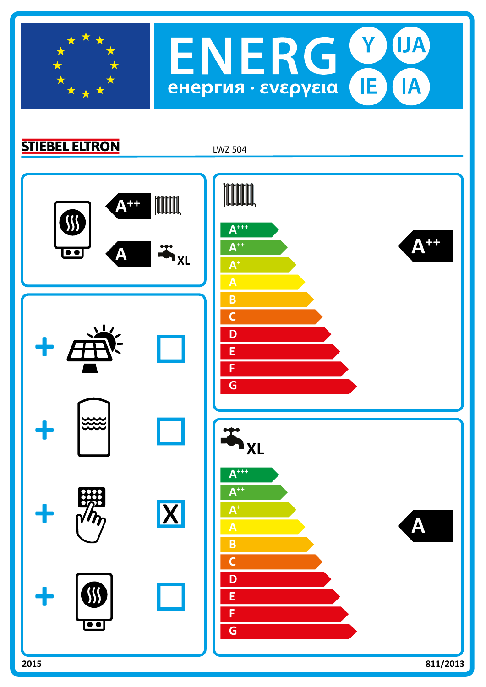

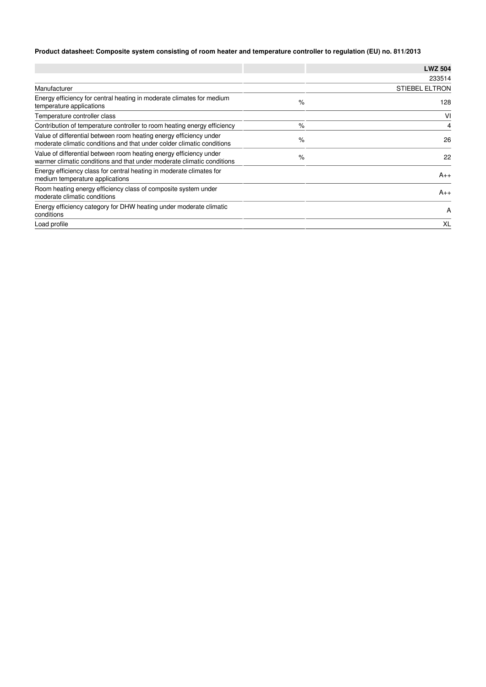## **Product datasheet: Composite system consisting of room heater and temperature controller to regulation (EU) no. 811/2013**

|                                                                                                                                              |      | <b>LWZ 504</b>        |
|----------------------------------------------------------------------------------------------------------------------------------------------|------|-----------------------|
|                                                                                                                                              |      | 233514                |
| Manufacturer                                                                                                                                 |      | <b>STIEBEL ELTRON</b> |
| Energy efficiency for central heating in moderate climates for medium<br>temperature applications                                            | $\%$ | 128                   |
| Temperature controller class                                                                                                                 |      | VI                    |
| Contribution of temperature controller to room heating energy efficiency                                                                     | $\%$ | 4                     |
| Value of differential between room heating energy efficiency under<br>moderate climatic conditions and that under colder climatic conditions | $\%$ | 26                    |
| Value of differential between room heating energy efficiency under<br>warmer climatic conditions and that under moderate climatic conditions | $\%$ | 22                    |
| Energy efficiency class for central heating in moderate climates for<br>medium temperature applications                                      |      | $A_{++}$              |
| Room heating energy efficiency class of composite system under<br>moderate climatic conditions                                               |      | $A_{++}$              |
| Energy efficiency category for DHW heating under moderate climatic<br>conditions                                                             |      | A                     |
| Load profile                                                                                                                                 |      | XL                    |
|                                                                                                                                              |      |                       |